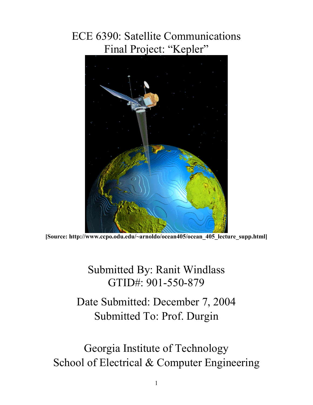## ECE 6390: Satellite Communications Final Project: "Kepler"



**[Source: http://www.ccpo.odu.edu/~arnoldo/ocean405/ocean\_405\_lecture\_supp.html]** 

Submitted By: Ranit Windlass GTID#: 901-550-879

Date Submitted: December 7, 2004 Submitted To: Prof. Durgin

Georgia Institute of Technology School of Electrical & Computer Engineering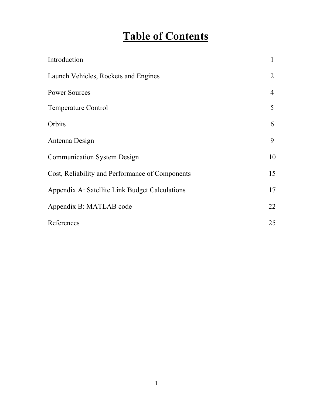## **Table of Contents**

| Introduction                                    | 1  |
|-------------------------------------------------|----|
| Launch Vehicles, Rockets and Engines            | 2  |
| <b>Power Sources</b>                            | 4  |
| <b>Temperature Control</b>                      | 5  |
| Orbits                                          | 6  |
| Antenna Design                                  | 9  |
| <b>Communication System Design</b>              | 10 |
| Cost, Reliability and Performance of Components | 15 |
| Appendix A: Satellite Link Budget Calculations  | 17 |
| Appendix B: MATLAB code                         | 22 |
| References                                      | 25 |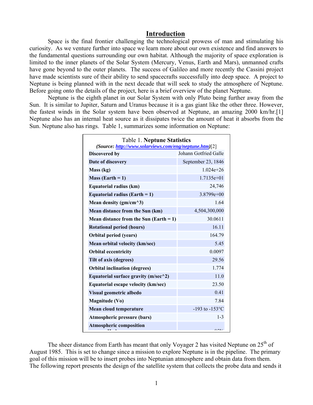### **Introduction**

Space is the final frontier challenging the technological prowess of man and stimulating his curiosity. As we venture further into space we learn more about our own existence and find answers to the fundamental questions surrounding our own habitat. Although the majority of space exploration is limited to the inner planets of the Solar System (Mercury, Venus, Earth and Mars), unmanned crafts have gone beyond to the outer planets. The success of Galileo and more recently the Cassini project have made scientists sure of their ability to send spacecrafts successfully into deep space. A project to Neptune is being planned with in the next decade that will seek to study the atmosphere of Neptune. Before going onto the details of the project, here is a brief overview of the planet Neptune.

Neptune is the eighth planet in our Solar System with only Pluto being further away from the Sun. It is similar to Jupiter, Saturn and Uranus because it is a gas giant like the other three. However, the fastest winds in the Solar system have been observed at Neptune, an amazing 2000 km/hr.[1] Neptune also has an internal heat source as it dissipates twice the amount of heat it absorbs from the Sun. Neptune also has rings. Table 1, summarizes some information on Neptune:

| <b>Table 1. Neptune Statistics</b><br>(Source: http://www.solarviews.com/eng/neptune.htm)[2] |                       |  |  |  |
|----------------------------------------------------------------------------------------------|-----------------------|--|--|--|
| Discovered by                                                                                | Johann Gotfried Galle |  |  |  |
| Date of discovery                                                                            | September 23, 1846    |  |  |  |
| Mass (kg)                                                                                    | $1.024e + 26$         |  |  |  |
| Mass (Earth $= 1$ )                                                                          | $1.7135e+01$          |  |  |  |
| Equatorial radius (km)                                                                       | 24,746                |  |  |  |
| Equatorial radius (Earth $= 1$ )                                                             | $3.8799e+00$          |  |  |  |
| Mean density ( $gm/cm^3$ )                                                                   | 1.64                  |  |  |  |
| Mean distance from the Sun (km)                                                              | 4,504,300,000         |  |  |  |
| Mean distance from the Sun (Earth $= 1$ )                                                    | 30.0611               |  |  |  |
| <b>Rotational period (hours)</b>                                                             | 16.11                 |  |  |  |
| <b>Orbital period (years)</b>                                                                | 164.79                |  |  |  |
| Mean orbital velocity (km/sec)                                                               | 5.45                  |  |  |  |
| <b>Orbital eccentricity</b>                                                                  | 0.0097                |  |  |  |
| Tilt of axis (degrees)                                                                       | 29.56                 |  |  |  |
| <b>Orbital inclination (degrees)</b>                                                         | 1.774                 |  |  |  |
| Equatorial surface gravity ( $m/sec^2$ )                                                     | 11.0                  |  |  |  |
| Equatorial escape velocity (km/sec)                                                          | 23.50                 |  |  |  |
| Visual geometric albedo                                                                      | 0.41                  |  |  |  |
| Magnitude (Vo)                                                                               | 7.84                  |  |  |  |
| Mean cloud temperature                                                                       | $-193$ to $-153$ °C   |  |  |  |
| Atmospheric pressure (bars)                                                                  | $1 - 3$               |  |  |  |
| <b>Atmospheric composition</b>                                                               | $\sim$ = $\sim$ /     |  |  |  |

The sheer distance from Earth has meant that only Voyager 2 has visited Neptune on  $25<sup>th</sup>$  of August 1985. This is set to change since a mission to explore Neptune is in the pipeline. The primary goal of this mission will be to insert probes into Neptunian atmosphere and obtain data from them. The following report presents the design of the satellite system that collects the probe data and sends it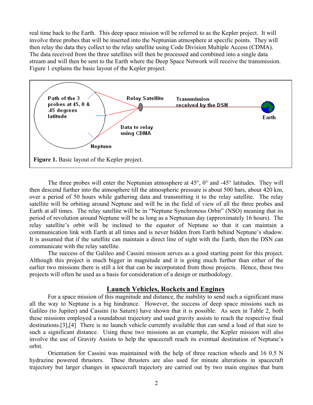real time back to the Earth. This deep space mission will be referred to as the Kepler project. It will involve three probes that will be inserted into the Neptunian atmosphere at specific points. They will then relay the data they collect to the relay satellite using Code Division Multiple Access (CDMA). The data received from the three satellites will then be processed and combined into a single data stream and will then be sent to the Earth where the Deep Space Network will receive the transmission. Figure 1 explains the basic layout of the Kepler project.



The three probes will enter the Neptunian atmosphere at 45°, 0° and -45° latitudes. They will then descend further into the atmosphere till the atmospheric pressure is about 500 bars, about 420 km, over a period of 50 hours while gathering data and transmitting it to the relay satellite. The relay satellite will be orbiting around Neptune and will be in the field of view of all the three probes and Earth at all times. The relay satellite will be in "Neptune Synchronous Orbit" (NSO) meaning that its period of revolution around Neptune will be as long as a Neptunian day (approximately 16 hours). The relay satellite's orbit will be inclined to the equator of Neptune so that it can maintain a communication link with Earth at all times and is never hidden from Earth behind Neptune's shadow. It is assumed that if the satellite can maintain a direct line of sight with the Earth, then the DSN can communicate with the relay satellite.

The success of the Galileo and Cassini mission serves as a good starting point for this project. Although this project is much bigger in magnitude and it is going much further than either of the earlier two missions there is still a lot that can be incorporated from those projects. Hence, these two projects will often be used as a basis for consideration of a design or methodology.

### **Launch Vehicles, Rockets and Engines**

For a space mission of this magnitude and distance, the inability to send such a significant mass all the way to Neptune is a big hindrance. However, the success of deep space missions such as Galileo (to Jupiter) and Cassini (to Saturn) have shown that it is possible. As seen in Table 2, both these missions employed a roundabout trajectory and used gravity assists to reach the respective final destinations.[3],[4] There is no launch vehicle currently available that can send a load of that size to such a significant distance. Using these two missions as an example, the Kepler mission will also involve the use of Gravity Assists to help the spacecraft reach its eventual destination of Neptune's orbit.

Orientation for Cassini was maintained with the help of three reaction wheels and 16 0.5 N hydrazine powered thrusters. These thrusters are also used for minute alterations in spacecraft trajectory but larger changes in spacecraft trajectory are carried out by two main engines that burn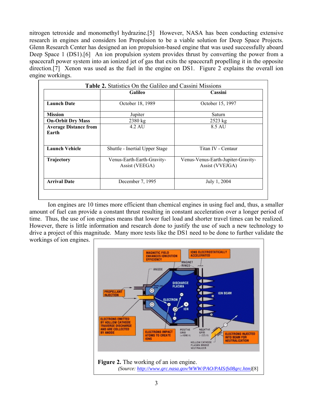nitrogen tetroxide and monomethyl hydrazine.[5] However, NASA has been conducting extensive research in engines and considers Ion Propulsion to be a viable solution for Deep Space Projects. Glenn Research Center has designed an ion propulsion-based engine that was used successfully aboard Deep Space 1 (DS1).<sup>[6]</sup> An ion propulsion system provides thrust by converting the power from a spacecraft power system into an ionized jet of gas that exits the spacecraft propelling it in the opposite direction.[7] Xenon was used as the fuel in the engine on DS1. Figure 2 explains the overall ion engine workings.

|                                       | <b>Galileo</b>                               | Cassini                                               |
|---------------------------------------|----------------------------------------------|-------------------------------------------------------|
| <b>Launch Date</b>                    | October 18, 1989                             | October 15, 1997                                      |
| <b>Mission</b>                        | Jupiter                                      | Saturn                                                |
| <b>On-Orbit Dry Mass</b>              | 2380 kg                                      | $2523$ kg                                             |
| <b>Average Distance from</b><br>Earth | 4.2 AU                                       | 8.5 AU                                                |
| <b>Launch Vehicle</b>                 | Shuttle - Inertial Upper Stage               | Titan IV - Centaur                                    |
| Trajectory                            | Venus-Earth-Earth-Gravity-<br>Assist (VEEGA) | Venus-Venus-Earth-Jupiter-Gravity-<br>Assist (VVEJGA) |
| <b>Arrival Date</b>                   | December 7, 1995                             | July 1, 2004                                          |

Ion engines are 10 times more efficient than chemical engines in using fuel and, thus, a smaller amount of fuel can provide a constant thrust resulting in constant acceleration over a longer period of time. Thus, the use of ion engines means that lower fuel load and shorter travel times can be realized. However, there is little information and research done to justify the use of such a new technology to drive a project of this magnitude. Many more tests like the DS1 need to be done to further validate the

workings of ion engines.

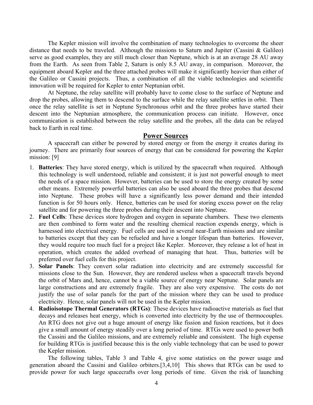The Kepler mission will involve the combination of many technologies to overcome the sheer distance that needs to be traveled. Although the missions to Saturn and Jupiter (Cassini & Galileo) serve as good examples, they are still much closer than Neptune, which is at an average 28 AU away from the Earth. As seen from Table 2, Saturn is only 8.5 AU away, in comparison. Moreover, the equipment aboard Kepler and the three attached probes will make it significantly heavier than either of the Galileo or Cassini projects. Thus, a combination of all the viable technologies and scientific innovation will be required for Kepler to enter Neptunian orbit.

At Neptune, the relay satellite will probably have to come close to the surface of Neptune and drop the probes, allowing them to descend to the surface while the relay satellite settles in orbit. Then once the relay satellite is set in Neptune Synchronous orbit and the three probes have started their descent into the Neptunian atmosphere, the communication process can initiate. However, once communication is established between the relay satellite and the probes, all the data can be relayed back to Earth in real time.

#### **Power Sources**

A spacecraft can either be powered by stored energy or from the energy it creates during its journey. There are primarily four sources of energy that can be considered for powering the Kepler mission: [9]

- 1. **Batteries**: They have stored energy, which is utilized by the spacecraft when required. Although this technology is well understood, reliable and consistent; it is just not powerful enough to meet the needs of a space mission. However, batteries can be used to store the energy created by some other means. Extremely powerful batteries can also be used aboard the three probes that descend into Neptune. These probes will have a significantly less power demand and their intended function is for 50 hours only. Hence, batteries can be used for storing excess power on the relay satellite and for powering the three probes during their descent into Neptune.
- 2. **Fuel Cells**: These devices store hydrogen and oxygen in separate chambers. These two elements are then combined to form water and the resulting chemical reaction expends energy, which is harnessed into electrical energy. Fuel cells are used in several near-Earth missions and are similar to batteries except that they can be refueled and have a longer lifespan than batteries. However, they would require too much fuel for a project like Kepler. Moreover, they release a lot of heat in operation, which creates the added overhead of managing that heat. Thus, batteries will be preferred over fuel cells for this project.
- 3. **Solar Panels**: They convert solar radiation into electricity and are extremely successful for missions close to the Sun. However, they are rendered useless when a spacecraft travels beyond the orbit of Mars and, hence, cannot be a viable source of energy near Neptune. Solar panels are large constructions and are extremely fragile. They are also very expensive. The costs do not justify the use of solar panels for the part of the mission where they can be used to produce electricity. Hence, solar panels will not be used in the Kepler mission.
- 4. **Radioisotope Thermal Generators (RTGs)**: These devices have radioactive materials as fuel that decays and releases heat energy, which is converted into electricity by the use of thermocouples. An RTG does not give out a huge amount of energy like fission and fusion reactions, but it does give a small amount of energy steadily over a long period of time. RTGs were used to power both the Cassini and the Galileo missions, and are extremely reliable and consistent. The high expense for building RTGs is justified because this is the only viable technology that can be used to power the Kepler mission.

The following tables, Table 3 and Table 4, give some statistics on the power usage and generation aboard the Cassini and Galileo orbiters.[3,4,10] This shows that RTGs can be used to provide power for such large spacecrafts over long periods of time. Given the risk of launching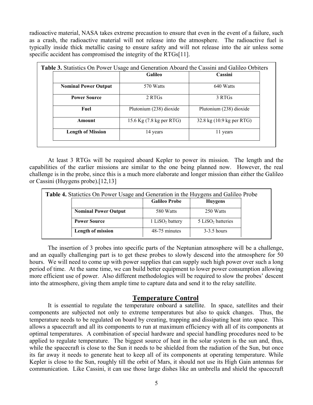radioactive material, NASA takes extreme precaution to ensure that even in the event of a failure, such as a crash, the radioactive material will not release into the atmosphere. The radioactive fuel is typically inside thick metallic casing to ensure safety and will not release into the air unless some specific accident has compromised the integrity of the RTGs[11].

|                             | <b>Galileo</b>           | Cassini                   |  |
|-----------------------------|--------------------------|---------------------------|--|
| <b>Nominal Power Output</b> | 570 Watts                | 640 Watts                 |  |
| <b>Power Source</b>         | 2 RTGs                   | 3 RTGs                    |  |
| Fuel                        | Plutonium (238) dioxide  | Plutonium (238) dioxide   |  |
| Amount                      | 15.6 Kg (7.8 kg per RTG) | 32.8 kg (10.9 kg per RTG) |  |
| <b>Length of Mission</b>    | 14 years                 | 11 years                  |  |

At least 3 RTGs will be required aboard Kepler to power its mission. The length and the capabilities of the earlier missions are similar to the one being planned now. However, the real challenge is in the probe, since this is a much more elaborate and longer mission than either the Galileo or Cassini (Huygens probe).[12,13]

| <b>Table 4.</b> Statictics On Power Usage and Generation in the Huygens and Galileo Probe |                      |                               |  |
|-------------------------------------------------------------------------------------------|----------------------|-------------------------------|--|
|                                                                                           | <b>Galileo Probe</b> | <b>Huygens</b>                |  |
| <b>Nominal Power Output</b>                                                               | 580 Watts            | 250 Watts                     |  |
| <b>Power Source</b>                                                                       | 1 $LiSO2$ battery    | 5 LiSO <sub>2</sub> batteries |  |
| Length of mission                                                                         | 48-75 minutes        | $3-3.5$ hours                 |  |

The insertion of 3 probes into specific parts of the Neptunian atmosphere will be a challenge, and an equally challenging part is to get these probes to slowly descend into the atmosphere for 50 hours. We will need to come up with power supplies that can supply such high power over such a long period of time. At the same time, we can build better equipment to lower power consumption allowing more efficient use of power. Also different methodologies will be required to slow the probes' descent into the atmosphere, giving them ample time to capture data and send it to the relay satellite.

### **Temperature Control**

It is essential to regulate the temperature onboard a satellite. In space, satellites and their components are subjected not only to extreme temperatures but also to quick changes. Thus, the temperature needs to be regulated on board by creating, trapping and dissipating heat into space. This allows a spacecraft and all its components to run at maximum efficiency with all of its components at optimal temperatures. A combination of special hardware and special handling procedures need to be applied to regulate temperature. The biggest source of heat in the solar system is the sun and, thus, while the spacecraft is close to the Sun it needs to be shielded from the radiation of the Sun, but once its far away it needs to generate heat to keep all of its components at operating temperature. While Kepler is close to the Sun, roughly till the orbit of Mars, it should not use its High Gain antennas for communication. Like Cassini, it can use those large dishes like an umbrella and shield the spacecraft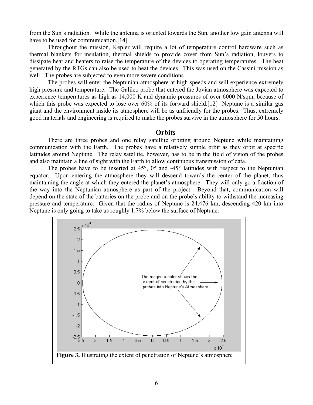from the Sun's radiation. While the antenna is oriented towards the Sun, another low gain antenna will have to be used for communication.<sup>[14]</sup>

Throughout the mission, Kepler will require a lot of temperature control hardware such as thermal blankets for insulation, thermal shields to provide cover from Sun's radiation, louvers to dissipate heat and heaters to raise the temperature of the devices to operating temperatures. The heat generated by the RTGs can also be used to heat the devices. This was used on the Cassini mission as well. The probes are subjected to even more severe conditions.

The probes will enter the Neptunian atmosphere at high speeds and will experience extremely high pressure and temperature. The Galileo probe that entered the Jovian atmosphere was expected to experience temperatures as high as 14,000 K and dynamic pressures of over 6000 N/sqm, because of which this probe was expected to lose over 60% of its forward shield.[12] Neptune is a similar gas giant and the environment inside its atmosphere will be as unfriendly for the probes. Thus, extremely good materials and engineering is required to make the probes survive in the atmosphere for 50 hours.

#### **Orbits**

There are three probes and one relay satellite orbiting around Neptune while maintaining communication with the Earth. The probes have a relatively simple orbit as they orbit at specific latitudes around Neptune. The relay satellite, however, has to be in the field of vision of the probes and also maintain a line of sight with the Earth to allow continuous transmission of data.

The probes have to be inserted at  $45^{\circ}$ ,  $0^{\circ}$  and  $-45^{\circ}$  latitudes with respect to the Neptunian equator. Upon entering the atmosphere they will descend towards the center of the planet, thus maintaining the angle at which they entered the planet's atmosphere. They will only go a fraction of the way into the Neptunian atmosphere as part of the project. Beyond that, communication will depend on the state of the batteries on the probe and on the probe's ability to withstand the increasing pressure and temperature. Given that the radius of Neptune is 24,476 km, descending 420 km into Neptune is only going to take us roughly 1.7% below the surface of Neptune.

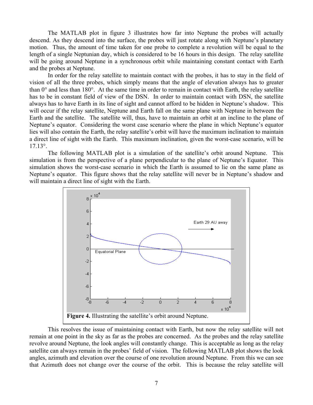The MATLAB plot in figure 3 illustrates how far into Neptune the probes will actually descend. As they descend into the surface, the probes will just rotate along with Neptune's planetary motion. Thus, the amount of time taken for one probe to complete a revolution will be equal to the length of a single Neptunian day, which is considered to be 16 hours in this design. The relay satellite will be going around Neptune in a synchronous orbit while maintaining constant contact with Earth and the probes at Neptune.

In order for the relay satellite to maintain contact with the probes, it has to stay in the field of vision of all the three probes, which simply means that the angle of elevation always has to greater than 0° and less than 180°. At the same time in order to remain in contact with Earth, the relay satellite has to be in constant field of view of the DSN. In order to maintain contact with DSN, the satellite always has to have Earth in its line of sight and cannot afford to be hidden in Neptune's shadow. This will occur if the relay satellite, Neptune and Earth fall on the same plane with Neptune in between the Earth and the satellite. The satellite will, thus, have to maintain an orbit at an incline to the plane of Neptune's equator. Considering the worst case scenario where the plane in which Neptune's equator lies will also contain the Earth, the relay satellite's orbit will have the maximum inclination to maintain a direct line of sight with the Earth. This maximum inclination, given the worst-case scenario, will be 17.13°.

The following MATLAB plot is a simulation of the satellite's orbit around Neptune. This simulation is from the perspective of a plane perpendicular to the plane of Neptune's Equator. This simulation shows the worst-case scenario in which the Earth is assumed to lie on the same plane as Neptune's equator. This figure shows that the relay satellite will never be in Neptune's shadow and will maintain a direct line of sight with the Earth.



This resolves the issue of maintaining contact with Earth, but now the relay satellite will not remain at one point in the sky as far as the probes are concerned. As the probes and the relay satellite revolve around Neptune, the look angles will constantly change. This is acceptable as long as the relay satellite can always remain in the probes' field of vision. The following MATLAB plot shows the look angles, azimuth and elevation over the course of one revolution around Neptune. From this we can see that Azimuth does not change over the course of the orbit. This is because the relay satellite will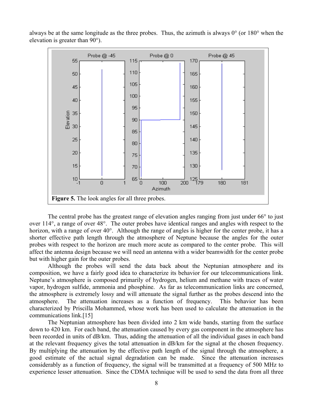

always be at the same longitude as the three probes. Thus, the azimuth is always  $0^{\circ}$  (or  $180^{\circ}$  when the elevation is greater than 90°).

The central probe has the greatest range of elevation angles ranging from just under 66<sup>°</sup> to just over 114°, a range of over 48°. The outer probes have identical ranges and angles with respect to the horizon, with a range of over 40°. Although the range of angles is higher for the center probe, it has a shorter effective path length through the atmosphere of Neptune because the angles for the outer probes with respect to the horizon are much more acute as compared to the center probe. This will affect the antenna design because we will need an antenna with a wider beamwidth for the center probe but with higher gain for the outer probes.

Although the probes will send the data back about the Neptunian atmosphere and its composition, we have a fairly good idea to characterize its behavior for our telecommunications link. Neptune's atmosphere is composed primarily of hydrogen, helium and methane with traces of water vapor, hydrogen sulfide, ammonia and phosphine. As far as telecommunication links are concerned, the atmosphere is extremely lossy and will attenuate the signal further as the probes descend into the atmosphere. The attenuation increases as a function of frequency. This behavior has been characterized by Priscilla Mohammed, whose work has been used to calculate the attenuation in the communications link.[15]

The Neptunian atmosphere has been divided into 2 km wide bands, starting from the surface down to 420 km. For each band, the attenuation caused by every gas component in the atmosphere has been recorded in units of dB/km. Thus, adding the attenuation of all the individual gases in each band at the relevant frequency gives the total attenuation in dB/km for the signal at the chosen frequency. By multiplying the attenuation by the effective path length of the signal through the atmosphere, a good estimate of the actual signal degradation can be made. Since the attenuation increases considerably as a function of frequency, the signal will be transmitted at a frequency of 500 MHz to experience lesser attenuation. Since the CDMA technique will be used to send the data from all three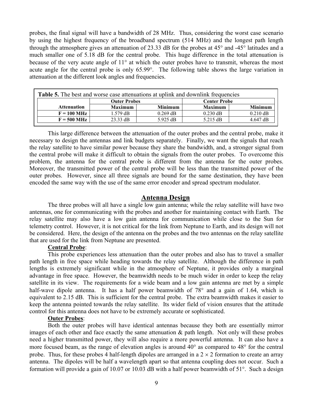probes, the final signal will have a bandwidth of 28 MHz. Thus, considering the worst case scenario by using the highest frequency of the broadband spectrum (514 MHz) and the longest path length through the atmosphere gives an attenuation of 23.33 dB for the probes at 45° and -45° latitudes and a much smaller one of 5.18 dB for the central probe. This huge difference in the total attenuation is because of the very acute angle of 11° at which the outer probes have to transmit, whereas the most acute angle for the central probe is only 65.99°. The following table shows the large variation in attenuation at the different look angles and frequencies.

| <b>Table 5.</b> The best and worse case attenuations at uplink and downlink frequencies |                     |                     |                |                |  |  |  |
|-----------------------------------------------------------------------------------------|---------------------|---------------------|----------------|----------------|--|--|--|
|                                                                                         | <b>Outer Probes</b> | <b>Center Probe</b> |                |                |  |  |  |
| <b>Attenuation</b>                                                                      | <b>Maximum</b>      | <b>Minimum</b>      | <b>Maximum</b> | <b>Minimum</b> |  |  |  |
| $F = 100$ MHz                                                                           | 1.579 dB            | $0.269$ dB          | $0.230$ dB     | $0.210$ dB     |  |  |  |
| $F = 500$ MHz                                                                           | $23.33$ dB          | 5.925 dB            | $5.215$ dB     | $4.647$ dB     |  |  |  |

This large difference between the attenuation of the outer probes and the central probe, make it necessary to design the antennas and link budgets separately. Finally, we want the signals that reach the relay satellite to have similar power because they share the bandwidth, and, a stronger signal from the central probe will make it difficult to obtain the signals from the outer probes. To overcome this problem, the antenna for the central probe is different from the antenna for the outer probes. Moreover, the transmitted power of the central probe will be less than the transmitted power of the outer probes. However, since all three signals are bound for the same destination, they have been encoded the same way with the use of the same error encoder and spread spectrum modulator.

### **Antenna Design**

The three probes will all have a single low gain antenna; while the relay satellite will have two antennas, one for communicating with the probes and another for maintaining contact with Earth. The relay satellite may also have a low gain antenna for communication while close to the Sun for telemetry control. However, it is not critical for the link from Neptune to Earth, and its design will not be considered. Here, the design of the antenna on the probes and the two antennas on the relay satellite that are used for the link from Neptune are presented.

### **Central Probe**:

This probe experiences less attenuation than the outer probes and also has to travel a smaller path length in free space while heading towards the relay satellite. Although the difference in path lengths is extremely significant while in the atmosphere of Neptune, it provides only a marginal advantage in free space. However, the beamwidth needs to be much wider in order to keep the relay satellite in its view. The requirements for a wide beam and a low gain antenna are met by a simple half-wave dipole antenna. It has a half power beamwidth of 78° and a gain of 1.64, which is equivalent to 2.15 dB. This is sufficient for the central probe. The extra beamwidth makes it easier to keep the antenna pointed towards the relay satellite. Its wider field of vision ensures that the attitude control for this antenna does not have to be extremely accurate or sophisticated.

#### **Outer Probes**:

Both the outer probes will have identical antennas because they both are essentially mirror images of each other and face exactly the same attenuation  $\&$  path length. Not only will these probes need a higher transmitted power, they will also require a more powerful antenna. It can also have a more focused beam, as the range of elevation angles is around 40° as compared to 48° for the central probe. Thus, for these probes 4 half-length dipoles are arranged in a  $2 \times 2$  formation to create an array antenna. The dipoles will be half a wavelength apart so that antenna coupling does not occur. Such a formation will provide a gain of 10.07 or 10.03 dB with a half power beamwidth of 51°. Such a design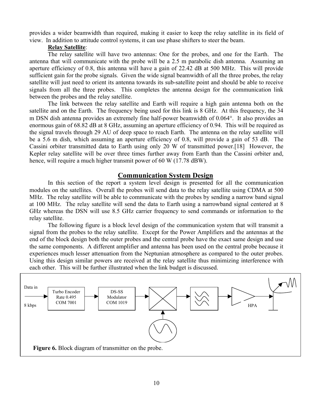provides a wider beamwidth than required, making it easier to keep the relay satellite in its field of view. In addition to attitude control systems, it can use phase shifters to steer the beam.

#### **Relay Satellite**:

The relay satellite will have two antennas: One for the probes, and one for the Earth. The antenna that will communicate with the probe will be a 2.5 m parabolic dish antenna. Assuming an aperture efficiency of 0.8, this antenna will have a gain of 22.42 dB at 500 MHz. This will provide sufficient gain for the probe signals. Given the wide signal beamwidth of all the three probes, the relay satellite will just need to orient its antenna towards its sub-satellite point and should be able to receive signals from all the three probes. This completes the antenna design for the communication link between the probes and the relay satellite.

The link between the relay satellite and Earth will require a high gain antenna both on the satellite and on the Earth. The frequency being used for this link is 8 GHz. At this frequency, the 34 m DSN dish antenna provides an extremely fine half-power beamwidth of 0.064°. It also provides an enormous gain of 68.82 dB at 8 GHz, assuming an aperture efficiency of 0.94. This will be required as the signal travels through 29 AU of deep space to reach Earth. The antenna on the relay satellite will be a 5.6 m dish, which assuming an aperture efficiency of 0.8, will provide a gain of 53 dB. The Cassini orbiter transmitted data to Earth using only 20 W of transmitted power.[18] However, the Kepler relay satellite will be over three times further away from Earth than the Cassini orbiter and, hence, will require a much higher transmit power of 60 W (17.78 dBW).

## **Communication System Design**

In this section of the report a system level design is presented for all the communication modules on the satellites. Overall the probes will send data to the relay satellite using CDMA at 500 MHz. The relay satellite will be able to communicate with the probes by sending a narrow band signal at 100 MHz. The relay satellite will send the data to Earth using a narrowband signal centered at 8 GHz whereas the DSN will use 8.5 GHz carrier frequency to send commands or information to the relay satellite.

The following figure is a block level design of the communication system that will transmit a signal from the probes to the relay satellite. Except for the Power Amplifiers and the antennas at the end of the block design both the outer probes and the central probe have the exact same design and use the same components. A different amplifier and antenna has been used on the central probe because it experiences much lesser attenuation from the Neptunian atmosphere as compared to the outer probes. Using this design similar powers are received at the relay satellite thus minimizing interference with each other. This will be further illustrated when the link budget is discussed.

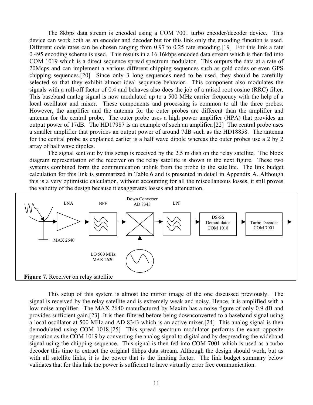The 8kbps data stream is encoded using a COM 7001 turbo encoder/decoder device. This device can work both as an encoder and decoder but for this link only the encoding function is used. Different code rates can be chosen ranging from 0.97 to 0.25 rate encoding. [19] For this link a rate 0.495 encoding scheme is used. This results in a 16.16kbps encoded data stream which is then fed into COM 1019 which is a direct sequence spread spectrum modulator. This outputs the data at a rate of 20Mcps and can implement a various different chipping sequences such as gold codes or even GPS chipping sequences.[20] Since only 3 long sequences need to be used, they should be carefully selected so that they exhibit almost ideal sequence behavior. This component also modulates the signals with a roll-off factor of 0.4 and behaves also does the job of a raised root cosine (RRC) filter. This baseband analog signal is now modulated up to a 500 MHz carrier frequency with the help of a local oscillator and mixer. These components and processing is common to all the three probes. However, the amplifier and the antenna for the outer probes are different than the amplifier and antenna for the central probe. The outer probe uses a high power amplifier (HPA) that provides an output power of 17dB. The HD17987 is an example of such an amplifier.[22] The central probe uses a smaller amplifier that provides an output power of around 7dB such as the HD18858. The antenna for the central probe as explained earlier is a half wave dipole whereas the outer probes use a 2 by 2 array of half wave dipoles.

The signal sent out by this setup is received by the 2.5 m dish on the relay satellite. The block diagram representation of the receiver on the relay satellite is shown in the next figure. These two systems combined form the communication uplink from the probe to the satellite. The link budget calculation for this link is summarized in Table 6 and is presented in detail in Appendix A. Although this is a very optimistic calculation, without accounting for all the miscellaneous losses, it still proves the validity of the design because it exaggerates losses and attenuation.



This setup of this system is almost the mirror image of the one discussed previously. The signal is received by the relay satellite and is extremely weak and noisy. Hence, it is amplified with a low noise amplifier. The MAX 2640 manufactured by Maxim has a noise figure of only 0.9 dB and provides sufficient gain.[23] It is then filtered before being downconverted to a baseband signal using a local oscillator at 500 MHz and AD 8343 which is an active mixer.[24] This analog signal is then demodulated using COM 1018.[25] This spread spectrum modulator performs the exact opposite operation as the COM 1019 by converting the analog signal to digital and by despreading the wideband signal using the chipping sequence. This signal is then fed into COM 7001 which is used as a turbo decoder this time to extract the original 8kbps data stream. Although the design should work, but as with all satellite links, it is the power that is the limiting factor. The link budget summary below validates that for this link the power is sufficient to have virtually error free communication.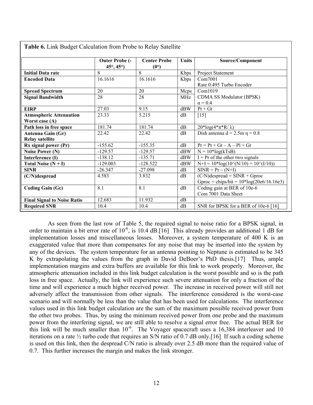| <b>Table 6.</b> Link Budget Calculation from Probe to Relay Satellite |                                                   |                                      |       |                                             |
|-----------------------------------------------------------------------|---------------------------------------------------|--------------------------------------|-------|---------------------------------------------|
|                                                                       | <b>Outer Probe (-</b><br>$45^{\circ}, 45^{\circ}$ | <b>Center Probe</b><br>$(0^{\circ})$ | Units | Source/Component                            |
| <b>Initial Data rate</b>                                              | 8                                                 | 8                                    | Kbps  | Project Statement                           |
| <b>Encoded Data</b>                                                   | 16.1616                                           | 16.1616                              | Kbps  | Com7001                                     |
|                                                                       |                                                   |                                      |       | Rate 0.495 Turbo Encoder                    |
| <b>Spread Spectrum</b>                                                | 20                                                | 20                                   | Mcps  | Com1019                                     |
| <b>Signal Bandwidth</b>                                               | 28                                                | 28                                   | MHz   | CDMA SS Modulator (BPSK)                    |
|                                                                       |                                                   |                                      |       | $\alpha = 0.4$                              |
| <b>EIRP</b>                                                           | 27.03                                             | 9.15                                 | dBW   | $Pt + Gt$                                   |
| <b>Atmospheric Attenuation</b>                                        | 23.33                                             | 5.215                                | dB    | $[15]$                                      |
| Worst case (A)                                                        |                                                   |                                      |       |                                             |
| Path loss in free space                                               | 181.74                                            | 181.74                               | dB    | $20*log(4*\pi*R/\lambda)$                   |
| Antenna Gain (Gr)                                                     | 22.42                                             | 22.42                                | dB    | Dish antenna $d = 2.5m \eta = 0.8$          |
| <b>Relay satellite</b>                                                |                                                   |                                      |       |                                             |
| Rx signal power (Pr)                                                  | $-155.62$                                         | $-155.35$                            | dB    | $Pr = Pt + Gt - A - Pl + Gr$                |
| <b>Noise Power (N)</b>                                                | $-129.57$                                         | $-129.57$                            | dBW   | $N = 10*log(kTsB)$                          |
| Interference (I)                                                      | $-138.12$                                         | $-135.71$                            | dBW   | $I = Pr$ of the other two signals           |
| Total Noise $(N + I)$                                                 | $-129.003$                                        | $-128.522$                           | dBW   | $N+I = 10*log(10^{N}/N/10) + 10^{N}(I/10))$ |
| <b>SINR</b>                                                           | $-26.347$                                         | $-27.098$                            | dB    | $SINR = Pr - (N+I)$                         |
| (C/N)despread                                                         | 4.583                                             | 3.832                                | dB    | $(C/N)$ despread = SINR + Gproc             |
|                                                                       |                                                   |                                      |       | Gproc = chips/bit = $10*log(20e6/16.16e3)$  |
| <b>Coding Gain (Gc)</b>                                               | 8.1                                               | 8.1                                  | dB    | Coding gain at BER of 10e-6                 |
|                                                                       |                                                   |                                      |       | Com 7001 Data Sheet                         |
| <b>Final Signal to Noise Ratio</b>                                    | 12.683                                            | 11.932                               | dB    |                                             |
| <b>Required SNR</b>                                                   | 10.4                                              | 10.4                                 | dB    | SNR for BPSK for a BER of 10e-6 [16]        |

 $T$  li $\epsilon$  ii  $D$  l  $\epsilon$   $\epsilon$  1. Link  $P$   $\epsilon$   $D$   $\epsilon$   $\epsilon$   $D$  1.  $\epsilon$   $\epsilon$   $\epsilon$  1. The  $P$ 

As seen from the last row of Table 5, the required signal to noise ratio for a BPSK signal, in order to maintain a bit error rate of  $10^{-6}$ , is 10.4 dB.[16] This already provides an additional 1 dB for implementation losses and miscellaneous losses. Moreover, a system temperature of 400 K is an exaggerated value that more than compensates for any noise that may be inserted into the system by any of the devices. The system temperature for an antenna pointing to Neptune is estimated to be 345 K by extrapolating the values from the graph in David DeBoer's PhD thesis.[17] Thus, ample implementation margins and extra buffers are available for this link to work properly. Moreover, the atmospheric attenuation included in this link budget calculation is the worst possible and so is the path loss in free space. Actually, the link will experience such severe attenuation for only a fraction of the time and will experience a much higher received power. The increase in received power will still not adversely affect the transmission from other signals. The interference considered is the worst-case scenario and will normally be less than the value that has been used for calculations. The interference values used in this link budget calculation are the sum of the maximum possible received power from the other two probes. Thus, by using the minimum received power from one probe and the maximum power from the interfering signal, we are still able to resolve a signal error free. The actual BER for this link will be much smaller than  $10^{-6}$ . The Voyager spacecraft uses a 16,384 interleaver and 10 iterations on a rate ½ turbo code that requires an S/N ratio of 0.7 dB only.[16] If such a coding scheme is used on this link, then the despread C/N ratio is already over 2.5 dB more than the required value of 0.7. This further increases the margin and makes the link stronger.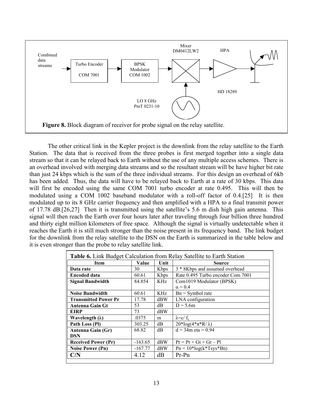

The other critical link in the Kepler project is the downlink from the relay satellite to the Earth Station. The data that is received from the three probes is first merged together into a single data stream so that it can be relayed back to Earth without the use of any multiple access schemes. There is an overhead involved with merging data streams and so the resultant stream will be have higher bit rate than just 24 kbps which is the sum of the three individual streams. For this design an overhead of 6kb has been added. Thus, the data will have to be relayed back to Earth at a rate of 30 kbps. This data will first be encoded using the same COM 7001 turbo encoder at rate 0.495. This will then be modulated using a COM 1002 baseband modulator with a roll-off factor of 0.4.[25] It is then modulated up to its 8 GHz carrier frequency and then amplified with a HPA to a final transmit power of 17.78 dB.[26,27] Then it is transmitted using the satellite's 5.6 m dish high gain antenna. This signal will then reach the Earth over four hours later after traveling through four billion three hundred and thirty eight million kilometers of free space. Although the signal is virtually undetectable when it reaches the Earth it is still much stronger than the noise present in its frequency band. The link budget for the downlink from the relay satellite to the DSN on the Earth is summarized in the table below and it is even stronger than the probe to relay satellite link.

| Table 6. Link Budget Calculation from Relay Satellite to Earth Station |           |              |                                   |  |  |
|------------------------------------------------------------------------|-----------|--------------|-----------------------------------|--|--|
| <b>Item</b>                                                            | Value     | Unit         | Source                            |  |  |
| Data rate                                                              | 30        | <b>K</b> bps | 3 * 8Kbps and assumed overhead    |  |  |
| <b>Encoded data</b>                                                    | 60.61     | Kbps         | Rate 0.495 Turbo encoder Com 7001 |  |  |
| <b>Signal Bandwidth</b>                                                | 84.854    | KHz          | Com1019 Modulator (BPSK)          |  |  |
|                                                                        |           |              | $\alpha = 0.4$                    |  |  |
| <b>Noise Bandwidth</b>                                                 | 60.61     | KHz          | $Bn = Symbol$ rate                |  |  |
| <b>Transmitted Power Pr</b>                                            | 17.78     | dBW          | LNA configuration                 |  |  |
| <b>Antenna Gain Gt</b>                                                 | 53        | dВ           | $D = 5.6m$                        |  |  |
| <b>EIRP</b>                                                            | 73        | dBW          |                                   |  |  |
| Wavelength $(\lambda)$                                                 | .0375     | m            | $\lambda = c/f_c$                 |  |  |
| Path Loss (PI)                                                         | 303.25    | dB           | $20*log(4*\pi*R/\lambda)$         |  |  |
| Antenna Gain (Gr)                                                      | 68.82     | dB           | $d = 34m$ eta = 0.94              |  |  |
| <b>DSN</b>                                                             |           |              |                                   |  |  |
| <b>Received Power (Pr)</b>                                             | $-163.65$ | dBW          | $Pr = Pr + Gt + Gr - Pl$          |  |  |
| <b>Noise Power (Pn)</b>                                                | $-167.77$ | dBW          | $Pn = 10*log(k*Tsys*Bn)$          |  |  |
| C/N                                                                    | 4.12      | dB           | $Pr-Pn$                           |  |  |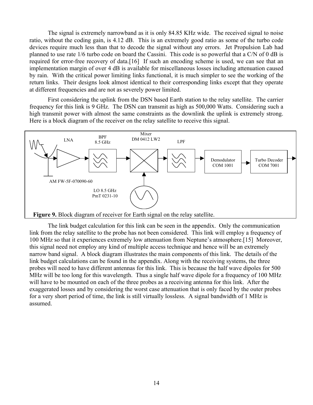The signal is extremely narrowband as it is only 84.85 KHz wide. The received signal to noise ratio, without the coding gain, is 4.12 dB. This is an extremely good ratio as some of the turbo code devices require much less than that to decode the signal without any errors. Jet Propulsion Lab had planned to use rate 1/6 turbo code on board the Cassini. This code is so powerful that a C/N of 0 dB is required for error-free recovery of data.[16] If such an encoding scheme is used, we can see that an implementation margin of over 4 dB is available for miscellaneous losses including attenuation caused by rain. With the critical power limiting links functional, it is much simpler to see the working of the return links. Their designs look almost identical to their corresponding links except that they operate at different frequencies and are not as severely power limited.

First considering the uplink from the DSN based Earth station to the relay satellite. The carrier frequency for this link is 9 GHz. The DSN can transmit as high as 500,000 Watts. Considering such a high transmit power with almost the same constraints as the downlink the uplink is extremely strong. Here is a block diagram of the receiver on the relay satellite to receive this signal.



The link budget calculation for this link can be seen in the appendix. Only the communication link from the relay satellite to the probe has not been considered. This link will employ a frequency of 100 MHz so that it experiences extremely low attenuation from Neptune's atmosphere.[15] Moreover, this signal need not employ any kind of multiple access technique and hence will be an extremely narrow band signal. A block diagram illustrates the main components of this link. The details of the link budget calculations can be found in the appendix. Along with the receiving systems, the three probes will need to have different antennas for this link. This is because the half wave dipoles for 500 MHz will be too long for this wavelength. Thus a single half wave dipole for a frequency of 100 MHz will have to be mounted on each of the three probes as a receiving antenna for this link. After the exaggerated losses and by considering the worst case attenuation that is only faced by the outer probes for a very short period of time, the link is still virtually lossless. A signal bandwidth of 1 MHz is assumed.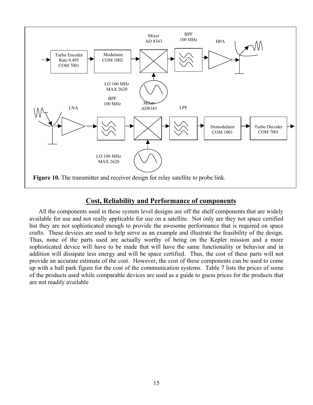

## **Cost, Reliability and Performance of components**

All the components used in these system level designs are off the shelf components that are widely available for use and not really applicable for use on a satellite. Not only are they not space certified but they are not sophisticated enough to provide the awesome performance that is required on space crafts. These devices are used to help serve as an example and illustrate the feasibility of the design. Thus, none of the parts used are actually worthy of being on the Kepler mission and a more sophisticated device will have to be made that will have the same functionality or behavior and in addition will dissipate less energy and will be space certified. Thus, the cost of these parts will not provide an accurate estimate of the cost. However, the cost of these components can be used to come up with a ball park figure for the cost of the communication systems. Table 7 lists the prices of some of the products used while comparable devices are used as a guide to guess prices for the products that are not readily available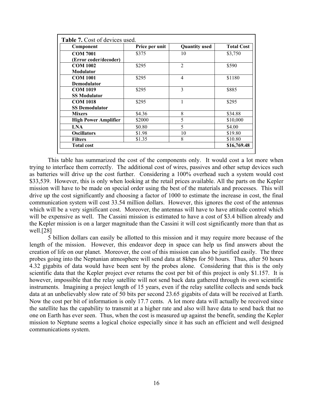| Component                   | <b>Quantity used</b> | <b>Total Cost</b> |             |
|-----------------------------|----------------------|-------------------|-------------|
| <b>COM 7001</b>             | \$375                | 10                | \$3,750     |
| (Error coder/decoder)       |                      |                   |             |
| <b>COM 1002</b>             | \$295                | $\overline{2}$    | \$590       |
| Modulator                   |                      |                   |             |
| <b>COM 1001</b>             | \$295                | $\overline{4}$    | \$1180      |
| <b>Demodulator</b>          |                      |                   |             |
| <b>COM 1019</b>             | \$295                | 3                 | \$885       |
| <b>SS Modulator</b>         |                      |                   |             |
| <b>COM 1018</b>             | \$295                |                   | \$295       |
| <b>SS Demodulator</b>       |                      |                   |             |
| <b>Mixers</b>               | \$4.36               | 8                 | \$34.88     |
| <b>High Power Amplifier</b> | \$2000               | 5                 | \$10,000    |
| <b>LNA</b>                  | \$0.80               | 5                 | \$4.00      |
| <b>Oscillators</b>          | \$1.98               | 10                | \$19.80     |
| <b>Filters</b>              | \$1.35               | 8                 | \$10.80     |
| <b>Total cost</b>           |                      |                   | \$16,769.48 |

This table has summarized the cost of the components only. It would cost a lot more when trying to interface them correctly. The additional cost of wires, passives and other setup devices such as batteries will drive up the cost further. Considering a 100% overhead such a system would cost \$33,539. However, this is only when looking at the retail prices available. All the parts on the Kepler mission will have to be made on special order using the best of the materials and processes. This will drive up the cost significantly and choosing a factor of 1000 to estimate the increase in cost, the final communication system will cost 33.54 million dollars. However, this ignores the cost of the antennas which will be a very significant cost. Moreover, the antennas will have to have attitude control which will be expensive as well. The Cassini mission is estimated to have a cost of \$3.4 billion already and the Kepler mission is on a larger magnitude than the Cassini it will cost significantly more than that as well.[28]

5 billion dollars can easily be allotted to this mission and it may require more because of the length of the mission. However, this endeavor deep in space can help us find answers about the creation of life on our planet. Moreover, the cost of this mission can also be justified easily. The three probes going into the Neptunian atmosphere will send data at 8kbps for 50 hours. Thus, after 50 hours 4.32 gigabits of data would have been sent by the probes alone. Considering that this is the only scientific data that the Kepler project ever returns the cost per bit of this project is only \$1.157. It is however, impossible that the relay satellite will not send back data gathered through its own scientific instruments. Imagining a project length of 15 years, even if the relay satellite collects and sends back data at an unbelievably slow rate of 50 bits per second 23.65 gigabits of data will be received at Earth. Now the cost per bit of information is only 17.7 cents. A lot more data will actually be received since the satellite has the capability to transmit at a higher rate and also will have data to send back that no one on Earth has ever seen. Thus, when the cost is measured up against the benefit, sending the Kepler mission to Neptune seems a logical choice especially since it has such an efficient and well designed communications system.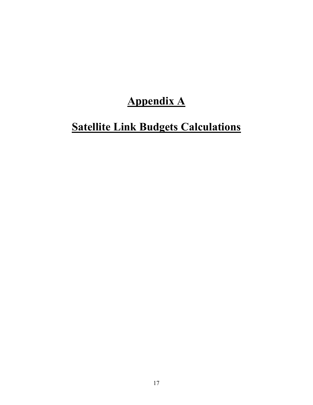## **Appendix A**

## **Satellite Link Budgets Calculations**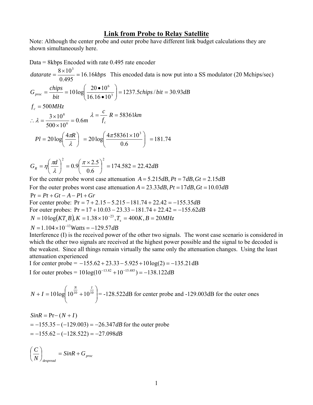#### **Link from Probe to Relay Satellite**

Note: Although the center probe and outer probe have different link budget calculations they are shown simultaneously here.

Data = 8kbps Encoded with rate 0.495 rate encoder

 $datarate = \frac{6 \times 10}{0.495} = 16.16kbps$  $=\frac{8\times10^3}{8\times10^3}$  = 16.16*kbps* This encoded data is now put into a SS modulator (20 Mchips/sec)  $chips/bit = 30.93dB$  $G_{proc} = \frac{chips}{bit} = 10 \log \left( \frac{20 \cdot 10^6}{16.16 \cdot 10^3} \right) = 1237.5 chips/bit = 30.93$  $= 1237.5 chips/bit =$ ⎠ ⎞  $\overline{\phantom{a}}$ ⎝  $\sqrt{}$ •  $=\frac{chips}{\ln x} = 10 \log \left( \frac{20}{\ln x} \right)$ *m* 0.6  $f_c = 500MHz$  $500 \times 10$  $3 \times 10$ 6 8 ∴  $\lambda = \frac{3 \times 10^8}{500 \times 10^6} = 0.6m$   $\lambda = \frac{A}{f_c}$  $\lambda = \frac{c}{r} R = 58361$ *km* 

$$
Pl = 20 \log \left( \frac{4 \pi R}{\lambda} \right) = 20 \log \left( \frac{4 \pi 58361 \times 10^3}{0.6} \right) = 181.74
$$

$$
G_R = \eta \left(\frac{\pi d}{\lambda}\right)^2 = 0.9 \left(\frac{\pi \times 2.5}{0.6}\right)^2 = 174.582 = 22.42 dB
$$

For the center probe worst case attenuation  $A = 5.215dB$ ,  $Pt = 7dB$ ,  $Gt = 2.15dB$ For the outer probes worst case attenuation  $A = 23.33dB$ ,  $Pt = 17dB$ ,  $Gt = 10.03dB$  $Pr = Pt + Gt - A - P1 + Gr$ For center probe: Pr = 7 + 2.15 − 5.215 −181.74 + 22.42 = −155.35*dB* For outer probes: Pr = 17 +10.03 − 23.33 −181.74 + 22.42 = −155.62*dB*  $N = 10 \log(KT_s B), K = 1.38 \times 10^{-23}, T_s = 400 K, B = 20 MHz$  $N = 1.104 \times 10^{-13}$  *Watts* =  $-129.57$  *dB* 

Interference (I) is the received power of the other two signals. The worst case scenario is considered in which the other two signals are received at the highest power possible and the signal to be decoded is the weakest. Since all things remain virtually the same only the attenuation changes. Using the least attenuation experienced

I for center probe =  $-155.62 + 23.33 - 5.925 + 10 \log(2) = -135.21 \text{ dB}$ I for outer probes =  $10 \log(10^{-13.82} + 10^{-15.485}) = -138.122 dB$ 

$$
N + I = 10 \log \left( 10^{\frac{N}{10}} + 10^{\frac{I}{10}} \right) = -128.522 \text{dB}
$$
 for center probe and -129.003 dB for the outer ones

 $= -155.62 - (-128.522) = -27.098dB$  $= -155.35 - (-129.003) = -26.347$  dB for the outer probe  $SinR = Pr - (N + I)$ 

$$
\left(\frac{C}{N}\right)_{despread} = SinR + G_{proc}
$$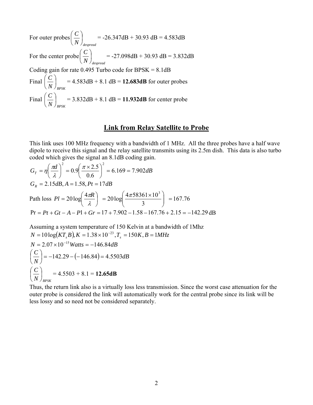For outer probes *N despread*  $\left(\frac{C}{M}\right)$ ⎠  $\left(\frac{C}{\sqrt{2}}\right)$ ⎝  $\left(\frac{C}{\cdot}\right)$  = -26.347dB + 30.93 dB = 4.583dB For the center  $\text{probe}\left(\frac{C}{N}\right)_{\textit{despread}}$ ⎠  $\left(\frac{C}{\sqrt{2}}\right)$ ⎝  $\left(\frac{C}{\cdot}\right)$  = -27.098dB + 30.93 dB = 3.832dB Coding gain for rate  $0.495$  Turbo code for BPSK =  $8.1$ dB Final  $N$   $\int_{\mathit{BPSK}}$  $\left(\frac{C}{V}\right)$  = 4.583dB + 8.1 dB = **12.683dB** for outer probes  $\left(\,N\,\right)$ Final  $N$   $\int_{\mathit{BPSK}}$  $\left(\frac{C}{M}\right)$ ⎠  $\left(\frac{C}{\sqrt{2}}\right)$ ⎝  $\left(\frac{C}{\sqrt{1}}\right)$  = 3.832dB + 8.1 dB = 11.932dB for center probe

## **Link from Relay Satellite to Probe**

This link uses 100 MHz frequency with a bandwidth of 1 MHz. All the three probes have a half wave dipole to receive this signal and the relay satellite transmits using its 2.5m dish. This data is also turbo coded which gives the signal an 8.1dB coding gain.

$$
G_T = \eta \left(\frac{\pi d}{\lambda}\right)^2 = 0.9 \left(\frac{\pi \times 2.5}{0.6}\right)^2 = 6.169 = 7.902 dB
$$
  
\n
$$
G_R = 2.15 dB, A = 1.58, Pt = 17 dB
$$
  
\nPath loss  $Pl = 20 \log \left(\frac{4\pi R}{\lambda}\right) = 20 \log \left(\frac{4\pi 58361 \times 10^3}{3}\right) = 167.76$   
\nPr = Pt + Gt - A - P1 + Gr = 17 + 7.902 - 1.58 - 167.76 + 2.15 = -142.29 dB

Assuming a system temperature of 150 Kelvin at a bandwidth of 1Mhz  $N = 10 \log(KT, B), K = 1.38 \times 10^{-23}, T = 150K, B = 1MHz$  $N = 2.07 \times 10^{-15}$  *Watts* =  $-146.84$ *dB*  $(-146.84) = 4.5503dB$  $\left(\frac{C}{N}\right)$  = -142.29 – (-146.84) = 4.5503 ⎝  $\big($  $N$   $\int_{\mathit{BPSK}}$  $\left(\frac{C}{M}\right)$ ⎠  $\left(\frac{C}{\sigma}\right)$ ⎝  $\left(\frac{C}{\sqrt{11}}\right)$  = 4.5503 + 8.1 = **12.65dB** 

Thus, the return link also is a virtually loss less transmission. Since the worst case attenuation for the outer probe is considered the link will automatically work for the central probe since its link will be less lossy and so need not be considered separately.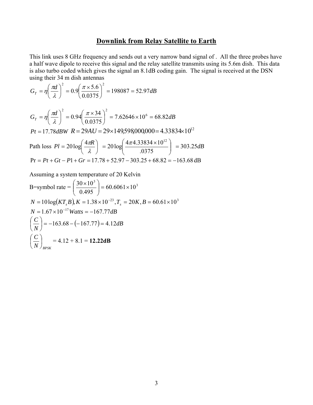## **Downlink from Relay Satellite to Earth**

This link uses 8 GHz frequency and sends out a very narrow band signal of . All the three probes have a half wave dipole to receive this signal and the relay satellite transmits using its 5.6m dish. This data is also turbo coded which gives the signal an 8.1dB coding gain. The signal is received at the DSN using their 34 m dish antennas

$$
G_T = \eta \left(\frac{\pi d}{\lambda}\right)^2 = 0.9 \left(\frac{\pi \times 5.6}{0.0375}\right)^2 = 198087 = 52.97 dB
$$
  
\n
$$
G_T = \eta \left(\frac{\pi d}{\lambda}\right)^2 = 0.94 \left(\frac{\pi \times 34}{0.0375}\right)^2 = 7.62646 \times 10^6 = 68.82 dB
$$
  
\n
$$
Pt = 17.78 dBW \ R = 29 AU = 29 \times 149,598,000,000 = 4.33834 \times 10^{12}
$$
  
\nPath loss  $Pl = 20 \log \left(\frac{4\pi R}{\lambda}\right) = 20 \log \left(\frac{4\pi 4.33834 \times 10^{12}}{0.0375}\right) = 303.25 dB$   
\n
$$
Pr = Pt + Gt - P1 + Gr = 17.78 + 52.97 - 303.25 + 68.82 = -163.68 dB
$$

Assuming a system temperature of 20 Kelvin

B=symbol rate = 
$$
\left(\frac{30 \times 10^3}{0.495}\right)
$$
 = 60.6061×10<sup>3</sup>  
\nN = 10 log(KT<sub>s</sub>B), K = 1.38×10<sup>-23</sup>, T<sub>s</sub> = 20K, B = 60.61×10<sup>3</sup>  
\nN = 1.67×10<sup>-17</sup> Watts = -167.77dB  
\n $\left(\frac{C}{N}\right)$  = -163.68 - (-167.77) = 4.12dB  
\n $\left(\frac{C}{N}\right)$  = 4.12 + 8.1 = **12.22dB**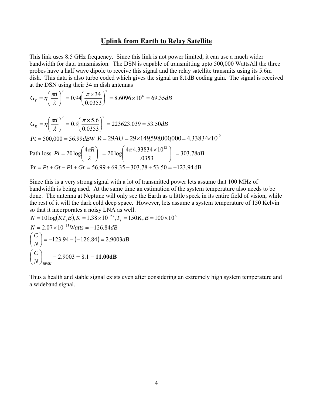## **Uplink from Earth to Relay Satellite**

This link uses 8.5 GHz frequency. Since this link is not power limited, it can use a much wider bandwidth for data transmission. The DSN is capable of transmitting upto 500,000 WattsAll the three probes have a half wave dipole to receive this signal and the relay satellite transmits using its 5.6m dish. This data is also turbo coded which gives the signal an 8.1dB coding gain. The signal is received at the DSN using their 34 m dish antennas

$$
G_T = \eta \left(\frac{\pi d}{\lambda}\right)^2 = 0.94 \left(\frac{\pi \times 34}{0.0353}\right)^2 = 8.6096 \times 10^6 = 69.35 dB
$$

$$
G_R = \eta \left(\frac{\pi d}{\lambda}\right)^2 = 0.9 \left(\frac{\pi \times 5.6}{0.0353}\right)^2 = 223623.039 = 53.50 dB
$$
  
\n
$$
Pt = 500,000 = 56.99 dBW \ R = 29AU = 29 \times 149,598,000,000 = 4.33834 \times 10^{12}
$$
  
\nPath loss  $Pl = 20 \log \left(\frac{4\pi R}{\lambda}\right) = 20 \log \left(\frac{4\pi 4.33834 \times 10^{12}}{0.0353}\right) = 303.78 dB$   
\n
$$
Pr = Pt + Gt - P1 + Gr = 56.99 + 69.35 - 303.78 + 53.50 = -123.94 dB
$$

Since this is a very strong signal with a lot of transmitted power lets assume that 100 MHz of bandwidth is being used. At the same time an estimation of the system temperature also needs to be done. The antenna at Neptune will only see the Earth as a little speck in its entire field of vision, while the rest of it will the dark cold deep space. However, lets assume a system temperature of 150 Kelvin so that it incorporates a noisy LNA as well.

$$
N = 10\log(KT_sB), K = 1.38 \times 10^{-23}, T_s = 150K, B = 100 \times 10^6
$$
  
\n
$$
N = 2.07 \times 10^{-13} Watts = -126.84dB
$$
  
\n
$$
\left(\frac{C}{N}\right) = -123.94 - (-126.84) = 2.9003dB
$$
  
\n
$$
\left(\frac{C}{N}\right)_{BPSK} = 2.9003 + 8.1 = 11.00dB
$$

Thus a health and stable signal exists even after considering an extremely high system temperature and a wideband signal.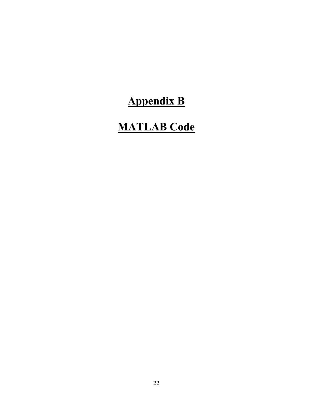# **Appendix B**

## **MATLAB Code**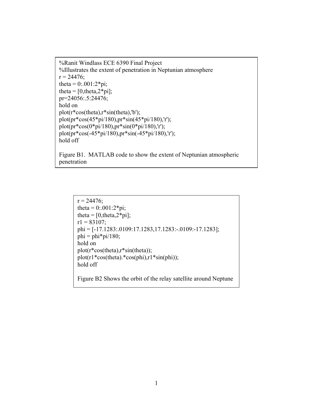%Ranit Windlass ECE 6390 Final Project %Illustrates the extent of penetration in Neptunian atmosphere  $r = 24476$ ; theta =  $0:001:2*pi;$ theta  $= [0, \text{theta}, 2^* \text{pi}];$ pr=24056:.5:24476; hold on plot(r\*cos(theta),r\*sin(theta),'b'); plot(pr\*cos(45\*pi/180),pr\*sin(45\*pi/180),'r'); plot(pr\*cos(0\*pi/180),pr\*sin(0\*pi/180),'r'); plot(pr\*cos(-45\*pi/180),pr\*sin(-45\*pi/180),'r'); hold off

Figure B1. MATLAB code to show the extent of Neptunian atmospheric penetration

```
r = 24476;
theta = 0:001:2*pi;theta = [0, \text{theta}, 2^* \text{pi}];r1 = 83107;
phi = [-17.1283:.0109:17.1283,17.1283:-.0109:-17.1283]; 
phi = phi *pi/180;hold on 
plot(r*cos(theta),r*sin(theta)); 
plot(r1*cos(theta).*cos(phi), r1*sin(phi));
hold off 
Figure B2 Shows the orbit of the relay satellite around Neptune
```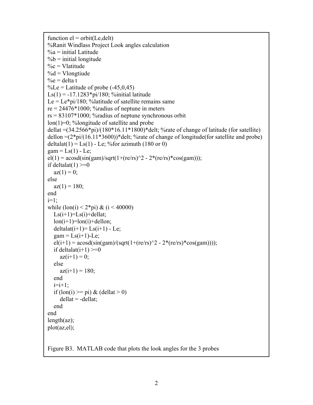```
function el = orbit(Le, delt)%Ranit Windlass Project Look angles calculation 
% a = initial Latitude% b = initial longitude
\%c = \text{V}latitude
% d = Vlongtiude
\%e = delta t
%Le = Latitude of probe (-45.0, 45)Ls(1) = -17.1283 \cdot \pi/180; %initial latitude
Le = Le\text{*pi/180}; %latitude of satellite remains same
re = 24476*1000; %radius of neptune in meters
rs = 83107*1000; %radius of neptune synchronous orbit
lon(1)=0; %longitude of satellite and probe 
dellat =(34.2566*pi)/(180*16.11*1800)*delt; %rate of change of latitude (for satellite)
dellon =(2*pi/(16.11*3600))*delt; %rate of change of longitude(for satellite and probe)
deltalat(1) = \text{Ls}(1) - Le; % for azimuth (180 or 0)
gam = Ls(1) - Le;el(1) = a\cos d(\sin(\frac{gam}{\sqrt{g}}t) + (re/rs)^2 - 2*(re/rs)*\cos(\frac{gam}{\sqrt{g}}t));
if deltalat(1)>=0az(1) = 0;else 
  az(1) = 180;end 
i=1;
while (\text{lon}(i) < 2 \cdot \text{pi}) \& (i < 40000)Ls(i+1)=Ls(i)+dellat;lon(i+1)=lon(i)+dellon;deltalat(i+1)= Ls(i+1) - Le;
  gam = Ls(i+1)-Le;el(i+1) = a\cos d(\sin(gam)/(sqrt(1+(re/rs)^2 - 2*(re/rs)*cos(gam))));
  if deltalat(i+1) \geq 0az(i+1) = 0; else 
     az(i+1) = 180; end 
  i=i+1:
  if (lon(i) \geq p_i) \& (dellat > 0)dellat = -dellat;
   end 
end 
length(az); 
plot(az,el); 
Figure B3. MATLAB code that plots the look angles for the 3 probes
```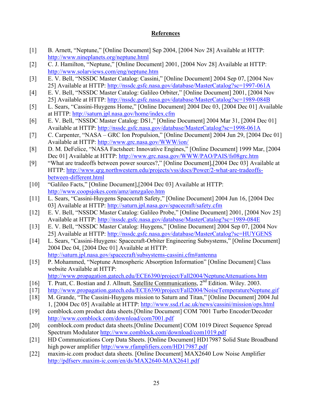## **References**

- [1] B. Arnett, "Neptune," [Online Document] Sep 2004, [2004 Nov 28] Available at HTTP: <http://www.nineplanets.org/neptune.html>
- [2] C. J. Hamilton, "Neptune," [Online Document] 2001, [2004 Nov 28] Available at HTTP: <http://www.solarviews.com/eng/neptune.htm>
- [3] E. V. Bell, "NSSDC Master Catalog: Cassini," [Online Document] 2004 Sep 07, [2004 Nov 25] Available at HTTP:<http://nssdc.gsfc.nasa.gov/database/MasterCatalog?sc=1997-061A>
- [4] E. V. Bell, "NSSDC Master Catalog: Galileo Orbiter," [Online Document] 2001, [2004 Nov 25] Available at HTTP:<http://nssdc.gsfc.nasa.gov/database/MasterCatalog?sc=1989-084B>
- [5] L. Sears, "Cassini-Huygens Home," [Online Document] 2004 Dec 03, [2004 Dec 01] Available at HTTP: <http://saturn.jpl.nasa.gov/home/index.cfm>
- [6] E. V. Bell, "NSSDC Master Catalog: DS1," [Online Document] 2004 Mar 31, [2004 Dec 01] Available at HTTP:<http://nssdc.gsfc.nasa.gov/database/MasterCatalog?sc=1998-061A>
- [7] C. Carpenter, "NASA GRC Ion Propulsion," [Online Document] 2004 Jun 29, [2004 Dec 01] Available at HTTP:<http://www.grc.nasa.gov/WWW/ion/>
- [8] D. M. DeFelice, "NASA Factsheet: Innovative Engines," [Online Document] 1999 Mar, [2004 Dec 01] Available at HTTP: <http://www.grc.nasa.gov/WWW/PAO/PAIS/fs08grc.htm>
- [9] "What are tradeoffs between power sources?," [Online Document],[2004 Dec 03] Available at HTTP: [http://www.qrg.northwestern.edu/projects/vss/docs/Power/2-what-are-tradeoffs](http://www.qrg.northwestern.edu/projects/vss/docs/Power/2-what-are-tradeoffs-between-different.html)[between-different.html](http://www.qrg.northwestern.edu/projects/vss/docs/Power/2-what-are-tradeoffs-between-different.html)
- [10] "Galileo Facts," [Online Document],[2004 Dec 03] Available at HTTP: <http://www.coopsjokes.com/amz/amzgaleo.htm>
- [11] L. Sears, "Cassini-Huygens Spacecraft Safety," [Online Document] 2004 Jun 16, [2004 Dec 03] Available at HTTP:<http://saturn.jpl.nasa.gov/spacecraft/safety.cfm>
- [12] E. V. Bell, "NSSDC Master Catalog: Galileo Probe," [Online Document] 2001, [2004 Nov 25] Available at HTTP:<http://nssdc.gsfc.nasa.gov/database/MasterCatalog?sc=1989-084E>
- [13] E. V. Bell, "NSSDC Master Catalog: Huygens," [Online Document] 2004 Sep 07, [2004 Nov 25] Available at HTTP:<http://nssdc.gsfc.nasa.gov/database/MasterCatalog?sc=HUYGENS>
- [14] L. Sears, "Cassini-Huygens: Spacecraft-Orbiter Engineering Subsystems," [Online Document] 2004 Dec 04, [2004 Dec 01] Available at HTTP: http://saturn.jpl.nasa.gov/spacecraft/subsystems-cassini.cfm#antenna
- [15] P. Mohammed, "Neptune Atmospheric Absorption Information" [Online Document] Class website Available at HTTP:
	- <http://www.propagation.gatech.edu/ECE6390/project/Fall2004/NeptuneAttenuations.htm>
- [16] T. Pratt, C. Bostian and J. Allnutt, Satellite Communications, 2<sup>nd</sup> Edition. Wiley. 2003.
- [17] <http://www.propagation.gatech.edu/ECE6390/project/Fall2004/NoiseTemperatureNeptune.gif>
- [18] M. Grande, "The Cassini-Huygens mission to Saturn and Titan," [Online Document] 2004 Jul 1, [2004 Dec 05] Available at HTTP: <http://www.ssd.rl.ac.uk/news/cassini/mission/ops.html>
- [19] comblock.com product data sheets.[Online Document] COM 7001 Turbo Encoder/Decoder <http://www.comblock.com/download/com7001.pdf>
- [20] comblock.com product data sheets.[Online Document] COM 1019 Direct Sequence Spread Spectrum Modulator<http://www.comblock.com/download/com1019.pdf>
- [21] HD Communications Corp Data Sheets. [Online Document] HD17987 Solid State Broadband high power amplifier <http://www.rfamplifiers.com/HD17987.pdf>
- [22] maxim-ic.com product data sheets. [Online Document] MAX2640 Low Noise Amplifier <http://pdfserv.maxim-ic.com/en/ds/MAX2640-MAX2641.pdf>